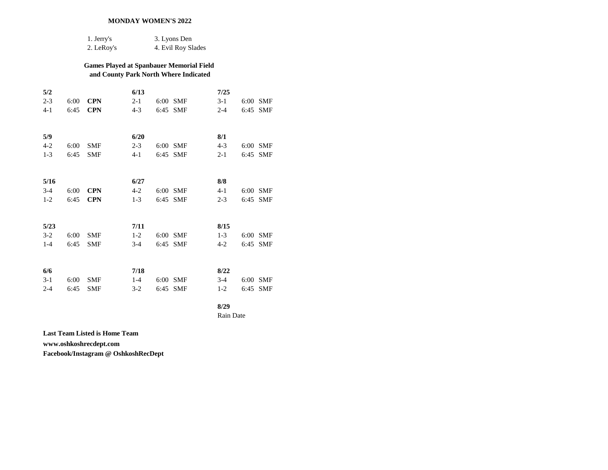### **MONDAY WOMEN'S 2022**

| 1. Jerry's | 3. Lyons Den       |
|------------|--------------------|
| 2. LeRoy's | 4. Evil Roy Slades |

# **Games Played at Spanbauer Memorial Field and County Park North Where Indicated**

| 5/2     |      |            | 6/13    |          | 7/25    |          |
|---------|------|------------|---------|----------|---------|----------|
| $2 - 3$ | 6:00 | <b>CPN</b> | $2 - 1$ | 6:00 SMF | $3-1$   | 6:00 SMF |
| $4-1$   | 6:45 | <b>CPN</b> | $4 - 3$ | 6:45 SMF | $2 - 4$ | 6:45 SMF |
|         |      |            |         |          |         |          |
|         |      |            |         |          |         |          |
| 5/9     |      |            | 6/20    |          | 8/1     |          |
| $4 - 2$ | 6:00 | <b>SMF</b> | $2 - 3$ | 6:00 SMF | $4 - 3$ | 6:00 SMF |
| $1-3$   | 6:45 | <b>SMF</b> | $4-1$   | 6:45 SMF | $2-1$   | 6:45 SMF |
|         |      |            |         |          |         |          |
|         |      |            |         |          |         |          |
| 5/16    |      |            | 6/27    |          | 8/8     |          |
| $3-4$   | 6:00 | <b>CPN</b> | $4 - 2$ | 6:00 SMF | $4 - 1$ | 6:00 SMF |
| $1-2$   | 6:45 | <b>CPN</b> | $1-3$   | 6:45 SMF | $2 - 3$ | 6:45 SMF |
|         |      |            |         |          |         |          |
|         |      |            |         |          |         |          |
| 5/23    |      |            | 7/11    |          | 8/15    |          |
| $3-2$   | 6:00 | <b>SMF</b> | $1-2$   | 6:00 SMF | $1-3$   | 6:00 SMF |
| $1 - 4$ | 6:45 | <b>SMF</b> | $3-4$   | 6:45 SMF | $4-2$   | 6:45 SMF |
|         |      |            |         |          |         |          |
|         |      |            |         |          |         |          |
| 6/6     |      |            | 7/18    |          | 8/22    |          |
| $3-1$   | 6:00 | <b>SMF</b> | $1 - 4$ | 6:00 SMF | $3-4$   | 6:00 SMF |
| $2 - 4$ | 6:45 | <b>SMF</b> | $3-2$   | 6:45 SMF | $1-2$   | 6:45 SMF |
|         |      |            |         |          |         |          |

**8/29** Rain Date

**Last Team Listed is Home Team** 

**www.oshkoshrecdept.com**

**Facebook/Instagram @ OshkoshRecDept**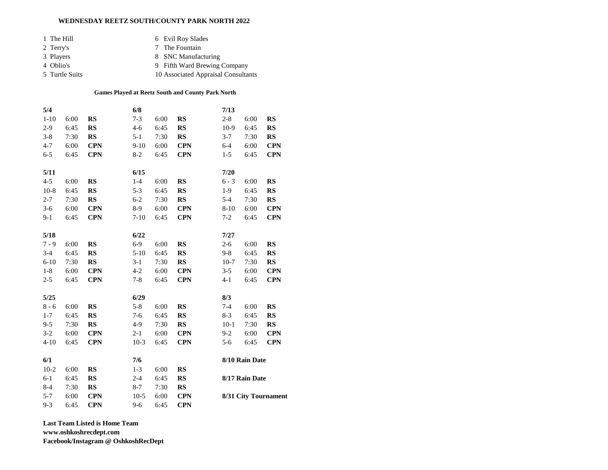#### **WEDNESDAY REETZ SOUTH/COUNTY PARK NORTH 2022**

| 1 The Hill     | 6 Evil Roy Slades                   |
|----------------|-------------------------------------|
| 2 Terry's      | 7 The Fountain                      |
| 3 Players      | 8 SNC Manufacturing                 |
| 4 Oblio's      | 9 Fifth Ward Brewing Company        |
| 5 Turtle Suits | 10 Associated Appraisal Consultants |

## **Games Played at Reetz South and County Park North**

| 5/4      |      |            | 6/8      |      |               | 7/13     |                |                      |
|----------|------|------------|----------|------|---------------|----------|----------------|----------------------|
| $1 - 10$ | 6:00 | <b>RS</b>  | $7 - 3$  | 6:00 | <b>RS</b>     | $2 - 8$  | 6:00           | <b>RS</b>            |
| $2-9$    | 6:45 | <b>RS</b>  | $4 - 6$  | 6:45 | <b>RS</b>     | $10-9$   | 6:45           | <b>RS</b>            |
| $3 - 8$  | 7:30 | <b>RS</b>  | $5 - 1$  | 7:30 | <b>RS</b>     | $3 - 7$  | 7:30           | <b>RS</b>            |
| $4 - 7$  | 6:00 | <b>CPN</b> | $9-10$   | 6:00 | <b>CPN</b>    | $6 - 4$  | 6:00           | <b>CPN</b>           |
| $6 - 5$  | 6:45 | <b>CPN</b> | $8 - 2$  | 6:45 | <b>CPN</b>    | $1 - 5$  | 6:45           | <b>CPN</b>           |
| 5/11     |      |            | 6/15     |      |               | 7/20     |                |                      |
| $4 - 5$  | 6:00 | <b>RS</b>  | $1-4$    | 6:00 | $\mathbf{RS}$ | $6 - 3$  | 6:00           | RS                   |
| $10 - 8$ | 6:45 | RS         | $5 - 3$  | 6:45 | RS            | $1-9$    | 6:45           | RS                   |
| $2 - 7$  | 7:30 | <b>RS</b>  | $6 - 2$  | 7:30 | <b>RS</b>     | $5 - 4$  | 7:30           | <b>RS</b>            |
| $3 - 6$  | 6:00 | <b>CPN</b> | $8-9$    | 6:00 | <b>CPN</b>    | $8 - 10$ | 6:00           | <b>CPN</b>           |
| $9-1$    | 6:45 | <b>CPN</b> | $7 - 10$ | 6:45 | <b>CPN</b>    | $7 - 2$  | 6:45           | <b>CPN</b>           |
| 5/18     |      |            | 6/22     |      |               | 7/27     |                |                      |
| $7 - 9$  | 6:00 | <b>RS</b>  | $6-9$    | 6:00 | <b>RS</b>     | $2 - 6$  | 6:00           | <b>RS</b>            |
| $3-4$    | 6:45 | RS         | $5 - 10$ | 6:45 | <b>RS</b>     | $9 - 8$  | 6:45           | RS                   |
| $6 - 10$ | 7:30 | RS         | $3 - 1$  | 7:30 | RS            | $10-7$   | 7:30           | RS                   |
| $1 - 8$  | 6:00 | <b>CPN</b> | $4 - 2$  | 6:00 | <b>CPN</b>    | $3 - 5$  | 6:00           | <b>CPN</b>           |
| $2 - 5$  | 6:45 | <b>CPN</b> | $7 - 8$  | 6:45 | <b>CPN</b>    | $4 - 1$  | 6:45           | <b>CPN</b>           |
| 5/25     |      |            | 6/29     |      |               | 8/3      |                |                      |
| $8 - 6$  | 6:00 | <b>RS</b>  | $5 - 8$  | 6:00 | <b>RS</b>     | $7 - 4$  | 6:00           | <b>RS</b>            |
| $1 - 7$  | 6:45 | <b>RS</b>  | $7-6$    | 6:45 | <b>RS</b>     | $8-3$    | 6:45           | <b>RS</b>            |
| $9 - 5$  | 7:30 | <b>RS</b>  | $4-9$    | 7:30 | <b>RS</b>     | $10-1$   | 7:30           | <b>RS</b>            |
| $3 - 2$  | 6:00 | <b>CPN</b> | $2 - 1$  | 6:00 | <b>CPN</b>    | $9 - 2$  | 6:00           | <b>CPN</b>           |
| $4 - 10$ | 6:45 | <b>CPN</b> | $10-3$   | 6:45 | <b>CPN</b>    | $5 - 6$  | 6:45           | <b>CPN</b>           |
| 6/1      |      |            | 7/6      |      |               |          | 8/10 Rain Date |                      |
| $10 - 2$ | 6:00 | <b>RS</b>  | $1 - 3$  | 6:00 | <b>RS</b>     |          |                |                      |
| $6 - 1$  | 6:45 | <b>RS</b>  | $2 - 4$  | 6:45 | <b>RS</b>     |          | 8/17 Rain Date |                      |
| $8 - 4$  | 7:30 | <b>RS</b>  | $8 - 7$  | 7:30 | <b>RS</b>     |          |                |                      |
| $5 - 7$  | 6:00 | <b>CPN</b> | $10-5$   | 6:00 | <b>CPN</b>    |          |                | 8/31 City Tournament |
| $9 - 3$  | 6:45 | <b>CPN</b> | $9 - 6$  | 6:45 | <b>CPN</b>    |          |                |                      |

**Last Team Listed is Home Team www.oshkoshrecdept.com Facebook/Instagram @ OshkoshRecDept**